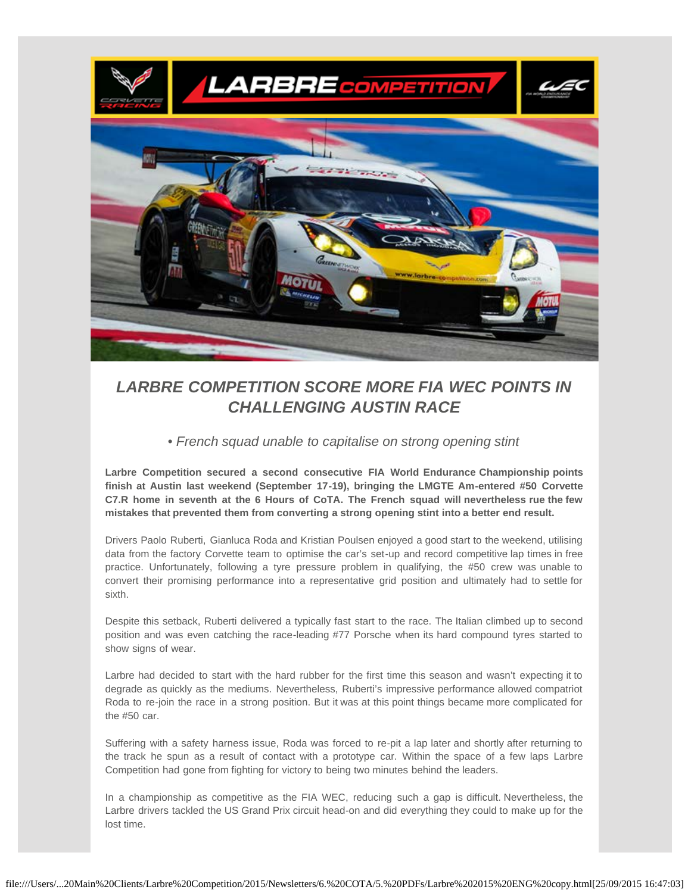

# *LARBRE COMPETITION SCORE MORE FIA WEC POINTS IN CHALLENGING AUSTIN RACE*

## *• French squad unable to capitalise on strong opening stint*

**Larbre Competition secured a second consecutive FIA World Endurance Championship points finish at Austin last weekend (September 17-19), bringing the LMGTE Am-entered #50 Corvette C7.R home in seventh at the 6 Hours of CoTA. The French squad will nevertheless rue the few mistakes that prevented them from converting a strong opening stint into a better end result.**

Drivers Paolo Ruberti, Gianluca Roda and Kristian Poulsen enjoyed a good start to the weekend, utilising data from the factory Corvette team to optimise the car's set-up and record competitive lap times in free practice. Unfortunately, following a tyre pressure problem in qualifying, the #50 crew was unable to convert their promising performance into a representative grid position and ultimately had to settle for sixth.

Despite this setback, Ruberti delivered a typically fast start to the race. The Italian climbed up to second position and was even catching the race-leading #77 Porsche when its hard compound tyres started to show signs of wear.

Larbre had decided to start with the hard rubber for the first time this season and wasn't expecting it to degrade as quickly as the mediums. Nevertheless, Ruberti's impressive performance allowed compatriot Roda to re-join the race in a strong position. But it was at this point things became more complicated for the #50 car.

Suffering with a safety harness issue, Roda was forced to re-pit a lap later and shortly after returning to the track he spun as a result of contact with a prototype car. Within the space of a few laps Larbre Competition had gone from fighting for victory to being two minutes behind the leaders.

In a championship as competitive as the FIA WEC, reducing such a gap is difficult. Nevertheless, the Larbre drivers tackled the US Grand Prix circuit head-on and did everything they could to make up for the lost time.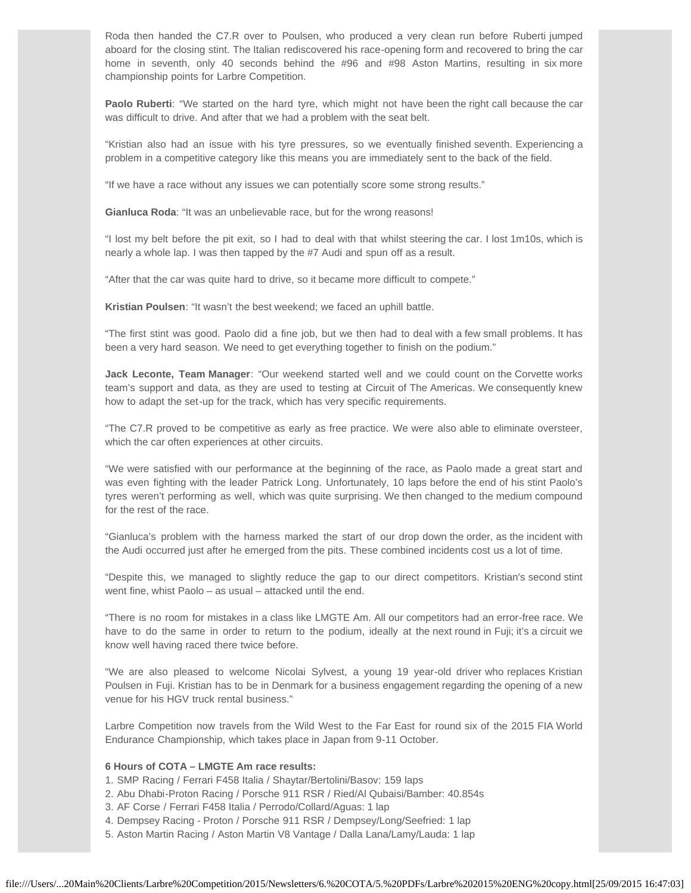Roda then handed the C7.R over to Poulsen, who produced a very clean run before Ruberti jumped aboard for the closing stint. The Italian rediscovered his race-opening form and recovered to bring the car home in seventh, only 40 seconds behind the #96 and #98 Aston Martins, resulting in six more championship points for Larbre Competition.

**Paolo Ruberti**: "We started on the hard tyre, which might not have been the right call because the car was difficult to drive. And after that we had a problem with the seat belt.

"Kristian also had an issue with his tyre pressures, so we eventually finished seventh. Experiencing a problem in a competitive category like this means you are immediately sent to the back of the field.

"If we have a race without any issues we can potentially score some strong results."

**Gianluca Roda**: "It was an unbelievable race, but for the wrong reasons!

"I lost my belt before the pit exit, so I had to deal with that whilst steering the car. I lost 1m10s, which is nearly a whole lap. I was then tapped by the #7 Audi and spun off as a result.

"After that the car was quite hard to drive, so it became more difficult to compete."

**Kristian Poulsen**: "It wasn't the best weekend; we faced an uphill battle.

"The first stint was good. Paolo did a fine job, but we then had to deal with a few small problems. It has been a very hard season. We need to get everything together to finish on the podium."

**Jack Leconte, Team Manager**: "Our weekend started well and we could count on the Corvette works team's support and data, as they are used to testing at Circuit of The Americas. We consequently knew how to adapt the set-up for the track, which has very specific requirements.

"The C7.R proved to be competitive as early as free practice. We were also able to eliminate oversteer, which the car often experiences at other circuits.

"We were satisfied with our performance at the beginning of the race, as Paolo made a great start and was even fighting with the leader Patrick Long. Unfortunately, 10 laps before the end of his stint Paolo's tyres weren't performing as well, which was quite surprising. We then changed to the medium compound for the rest of the race.

"Gianluca's problem with the harness marked the start of our drop down the order, as the incident with the Audi occurred just after he emerged from the pits. These combined incidents cost us a lot of time.

"Despite this, we managed to slightly reduce the gap to our direct competitors. Kristian's second stint went fine, whist Paolo – as usual – attacked until the end.

"There is no room for mistakes in a class like LMGTE Am. All our competitors had an error-free race. We have to do the same in order to return to the podium, ideally at the next round in Fuji; it's a circuit we know well having raced there twice before.

"We are also pleased to welcome Nicolai Sylvest, a young 19 year-old driver who replaces Kristian Poulsen in Fuji. Kristian has to be in Denmark for a business engagement regarding the opening of a new venue for his HGV truck rental business."

Larbre Competition now travels from the Wild West to the Far East for round six of the 2015 FIA World Endurance Championship, which takes place in Japan from 9-11 October.

## **6 Hours of COTA – LMGTE Am race results:**

- 1. SMP Racing / Ferrari F458 Italia / Shaytar/Bertolini/Basov: 159 laps
- 2. Abu Dhabi-Proton Racing / Porsche 911 RSR / Ried/Al Qubaisi/Bamber: 40.854s
- 3. AF Corse / Ferrari F458 Italia / Perrodo/Collard/Aguas: 1 lap
- 4. Dempsey Racing Proton / Porsche 911 RSR / Dempsey/Long/Seefried: 1 lap
- 5. Aston Martin Racing / Aston Martin V8 Vantage / Dalla Lana/Lamy/Lauda: 1 lap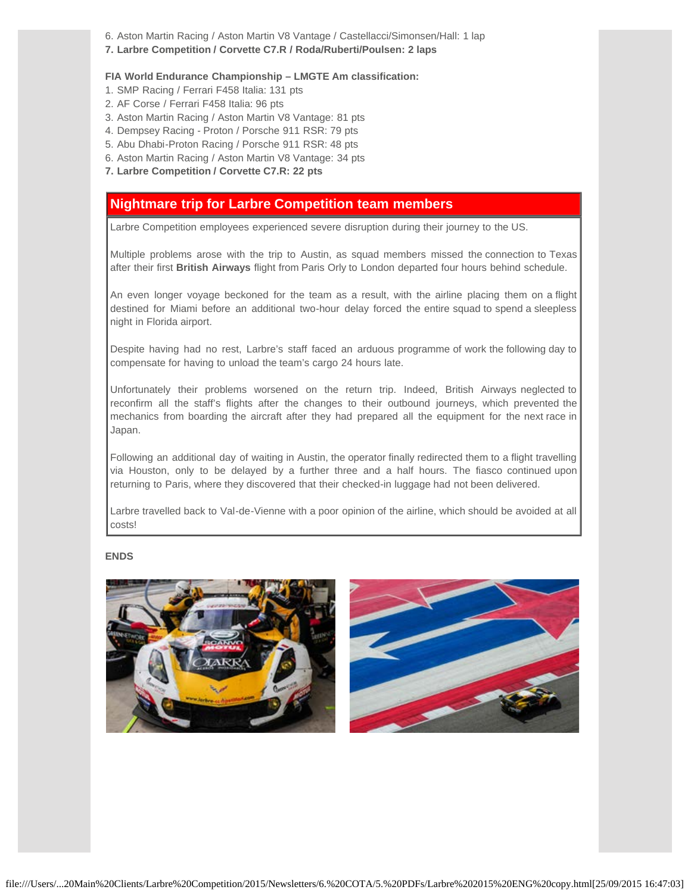- 6. Aston Martin Racing / Aston Martin V8 Vantage / Castellacci/Simonsen/Hall: 1 lap
- **7. Larbre Competition / Corvette C7.R / Roda/Ruberti/Poulsen: 2 laps**

#### **FIA World Endurance Championship – LMGTE Am classification:**

- 1. SMP Racing / Ferrari F458 Italia: 131 pts
- 2. AF Corse / Ferrari F458 Italia: 96 pts
- 3. Aston Martin Racing / Aston Martin V8 Vantage: 81 pts
- 4. Dempsey Racing Proton / Porsche 911 RSR: 79 pts
- 5. Abu Dhabi-Proton Racing / Porsche 911 RSR: 48 pts
- 6. Aston Martin Racing / Aston Martin V8 Vantage: 34 pts
- **7. Larbre Competition / Corvette C7.R: 22 pts**

# **Nightmare trip for Larbre Competition team members**

Larbre Competition employees experienced severe disruption during their journey to the US.

Multiple problems arose with the trip to Austin, as squad members missed the connection to Texas after their first **British Airways** flight from Paris Orly to London departed four hours behind schedule.

An even longer voyage beckoned for the team as a result, with the airline placing them on a flight destined for Miami before an additional two-hour delay forced the entire squad to spend a sleepless night in Florida airport.

Despite having had no rest, Larbre's staff faced an arduous programme of work the following day to compensate for having to unload the team's cargo 24 hours late.

Unfortunately their problems worsened on the return trip. Indeed, British Airways neglected to reconfirm all the staff's flights after the changes to their outbound journeys, which prevented the mechanics from boarding the aircraft after they had prepared all the equipment for the next race in Japan.

Following an additional day of waiting in Austin, the operator finally redirected them to a flight travelling via Houston, only to be delayed by a further three and a half hours. The fiasco continued upon returning to Paris, where they discovered that their checked-in luggage had not been delivered.

Larbre travelled back to Val-de-Vienne with a poor opinion of the airline, which should be avoided at all costs!

### **ENDS**